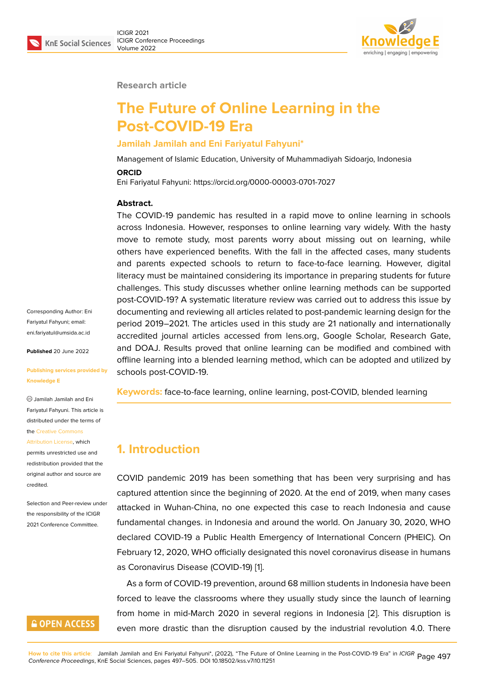

#### **Research article**

# **The Future of Online Learning in the Post-COVID-19 Era**

### **Jamilah Jamilah and Eni Fariyatul Fahyuni\***

Management of Islamic Education, University of Muhammadiyah Sidoarjo, Indonesia

#### **ORCID**

Eni Fariyatul Fahyuni: https://orcid.org/0000-00003-0701-7027

### **Abstract.**

The COVID-19 pandemic has resulted in a rapid move to online learning in schools across Indonesia. However, responses to online learning vary widely. With the hasty move to remote study, most parents worry about missing out on learning, while others have experienced benefits. With the fall in the affected cases, many students and parents expected schools to return to face-to-face learning. However, digital literacy must be maintained considering its importance in preparing students for future challenges. This study discusses whether online learning methods can be supported post-COVID-19? A systematic literature review was carried out to address this issue by documenting and reviewing all articles related to post-pandemic learning design for the period 2019–2021. The articles used in this study are 21 nationally and internationally accredited journal articles accessed from lens.org, Google Scholar, Research Gate, and DOAJ. Results proved that online learning can be modified and combined with offline learning into a blended learning method, which can be adopted and utilized by schools post-COVID-19.

**Keywords:** face-to-face learning, online learning, post-COVID, blended learning

## **1. Introduction**

COVID pandemic 2019 has been something that has been very surprising and has captured attention since the beginning of 2020. At the end of 2019, when many cases attacked in Wuhan-China, no one expected this case to reach Indonesia and cause fundamental changes. in Indonesia and around the world. On January 30, 2020, WHO declared COVID-19 a Public Health Emergency of International Concern (PHEIC). On February 12, 2020, WHO officially designated this novel coronavirus disease in humans as Coronavirus Disease (COVID-19) [1].

As a form of COVID-19 prevention, around 68 million students in Indonesia have been forced to leave the classrooms where they usually study since the launch of learning from home in mid-March 2020 in [se](#page-6-0)veral regions in Indonesia [2]. This disruption is even more drastic than the disruption caused by the industrial revolution 4.0. There

Corresponding Author: Eni Fariyatul Fahyuni; email: eni.fariyatul@umsida.ac.id

**Published** 20 June 2022

#### **[Publishing services provi](mailto:eni.fariyatul@umsida.ac.id)ded by Knowledge E**

Jamilah Jamilah and Eni Fariyatul Fahyuni. This article is distributed under the terms of the Creative Commons

Attribution License, which permits unrestricted use and redistribution provided that the orig[inal author and sou](https://creativecommons.org/licenses/by/4.0/)rce are [credited.](https://creativecommons.org/licenses/by/4.0/)

Selection and Peer-review under the responsibility of the ICIGR 2021 Conference Committee.

# **GOPEN ACCESS**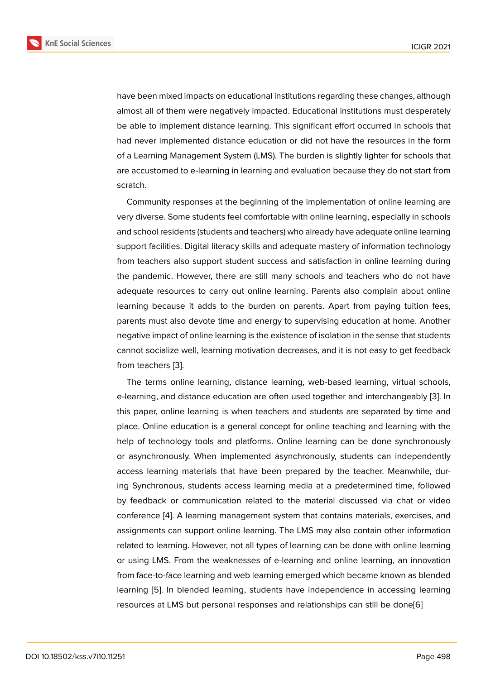have been mixed impacts on educational institutions regarding these changes, although almost all of them were negatively impacted. Educational institutions must desperately be able to implement distance learning. This significant effort occurred in schools that had never implemented distance education or did not have the resources in the form of a Learning Management System (LMS). The burden is slightly lighter for schools that are accustomed to e-learning in learning and evaluation because they do not start from scratch.

Community responses at the beginning of the implementation of online learning are very diverse. Some students feel comfortable with online learning, especially in schools and school residents (students and teachers) who already have adequate online learning support facilities. Digital literacy skills and adequate mastery of information technology from teachers also support student success and satisfaction in online learning during the pandemic. However, there are still many schools and teachers who do not have adequate resources to carry out online learning. Parents also complain about online learning because it adds to the burden on parents. Apart from paying tuition fees, parents must also devote time and energy to supervising education at home. Another negative impact of online learning is the existence of isolation in the sense that students cannot socialize well, learning motivation decreases, and it is not easy to get feedback from teachers [3].

The terms online learning, distance learning, web-based learning, virtual schools, e-learning, and distance education are often used together and interchangeably [3]. In this paper, onli[ne](#page-6-2) learning is when teachers and students are separated by time and place. Online education is a general concept for online teaching and learning with the help of technology tools and platforms. Online learning can be done synchron[ou](#page-6-2)sly or asynchronously. When implemented asynchronously, students can independently access learning materials that have been prepared by the teacher. Meanwhile, during Synchronous, students access learning media at a predetermined time, followed by feedback or communication related to the material discussed via chat or video conference [4]. A learning management system that contains materials, exercises, and assignments can support online learning. The LMS may also contain other information related to learning. However, not all types of learning can be done with online learning or using LM[S.](#page-7-0) From the weaknesses of e-learning and online learning, an innovation from face-to-face learning and web learning emerged which became known as blended learning [5]. In blended learning, students have independence in accessing learning resources at LMS but personal responses and relationships can still be done[6]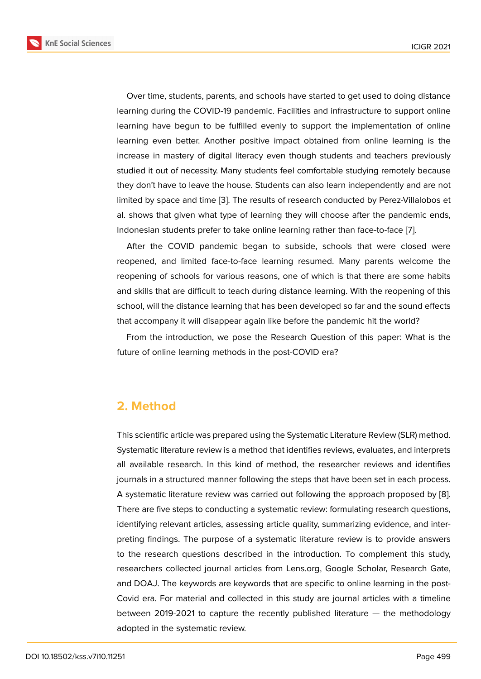Over time, students, parents, and schools have started to get used to doing distance learning during the COVID-19 pandemic. Facilities and infrastructure to support online learning have begun to be fulfilled evenly to support the implementation of online learning even better. Another positive impact obtained from online learning is the increase in mastery of digital literacy even though students and teachers previously studied it out of necessity. Many students feel comfortable studying remotely because they don't have to leave the house. Students can also learn independently and are not limited by space and time [3]. The results of research conducted by Perez-Villalobos et al. shows that given what type of learning they will choose after the pandemic ends, Indonesian students prefer to take online learning rather than face-to-face [7].

After the COVID pand[em](#page-6-2)ic began to subside, schools that were closed were reopened, and limited face-to-face learning resumed. Many parents welcome the reopening of schools for various reasons, one of which is that there are s[om](#page-7-1)e habits and skills that are difficult to teach during distance learning. With the reopening of this school, will the distance learning that has been developed so far and the sound effects that accompany it will disappear again like before the pandemic hit the world?

From the introduction, we pose the Research Question of this paper: What is the future of online learning methods in the post-COVID era?

## **2. Method**

This scientific article was prepared using the Systematic Literature Review (SLR) method. Systematic literature review is a method that identifies reviews, evaluates, and interprets all available research. In this kind of method, the researcher reviews and identifies journals in a structured manner following the steps that have been set in each process. A systematic literature review was carried out following the approach proposed by [8]. There are five steps to conducting a systematic review: formulating research questions, identifying relevant articles, assessing article quality, summarizing evidence, and interpreting findings. The purpose of a systematic literature review is to provide answ[er](#page-7-2)s to the research questions described in the introduction. To complement this study, researchers collected journal articles from Lens.org, Google Scholar, Research Gate, and DOAJ. The keywords are keywords that are specific to online learning in the post-Covid era. For material and collected in this study are journal articles with a timeline between 2019-2021 to capture the recently published literature  $-$  the methodology adopted in the systematic review.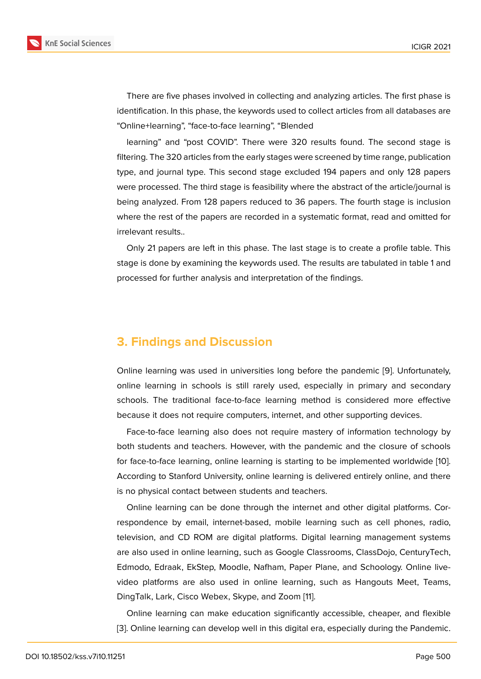There are five phases involved in collecting and analyzing articles. The first phase is identification. In this phase, the keywords used to collect articles from all databases are "Online+learning", "face-to-face learning", "Blended

learning" and "post COVID". There were 320 results found. The second stage is filtering. The 320 articles from the early stages were screened by time range, publication type, and journal type. This second stage excluded 194 papers and only 128 papers were processed. The third stage is feasibility where the abstract of the article/journal is being analyzed. From 128 papers reduced to 36 papers. The fourth stage is inclusion where the rest of the papers are recorded in a systematic format, read and omitted for irrelevant results..

Only 21 papers are left in this phase. The last stage is to create a profile table. This stage is done by examining the keywords used. The results are tabulated in table 1 and processed for further analysis and interpretation of the findings.

### **3. Findings and Discussion**

Online learning was used in universities long before the pandemic [9]. Unfortunately, online learning in schools is still rarely used, especially in primary and secondary schools. The traditional face-to-face learning method is considered more effective because it does not require computers, internet, and other supportin[g](#page-7-3) devices.

Face-to-face learning also does not require mastery of information technology by both students and teachers. However, with the pandemic and the closure of schools for face-to-face learning, online learning is starting to be implemented worldwide [10]. According to Stanford University, online learning is delivered entirely online, and there is no physical contact between students and teachers.

Online learning can be done through the internet and other digital platforms. [Cor](#page-7-4)respondence by email, internet-based, mobile learning such as cell phones, radio, television, and CD ROM are digital platforms. Digital learning management systems are also used in online learning, such as Google Classrooms, ClassDojo, CenturyTech, Edmodo, Edraak, EkStep, Moodle, Nafham, Paper Plane, and Schoology. Online livevideo platforms are also used in online learning, such as Hangouts Meet, Teams, DingTalk, Lark, Cisco Webex, Skype, and Zoom [11].

Online learning can make education significantly accessible, cheaper, and flexible [3]. Online learning can develop well in this digit[al e](#page-7-5)ra, especially during the Pandemic.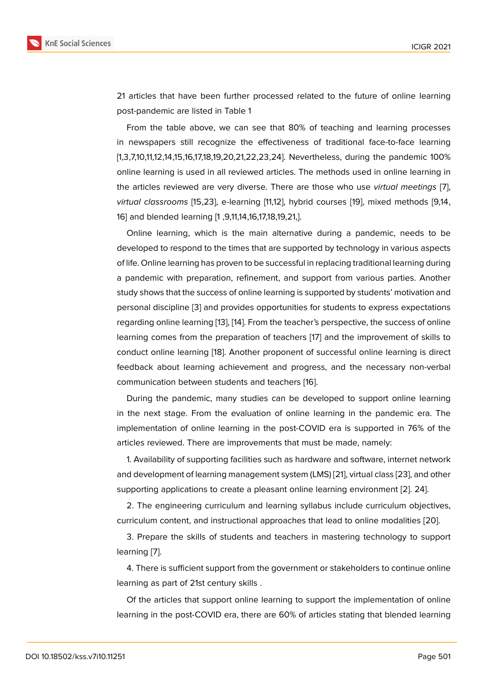21 articles that have been further processed related to the future of online learning post-pandemic are listed in Table 1

From the table above, we can see that 80% of teaching and learning processes in newspapers still recognize the effectiveness of traditional face-to-face learning [1,3,7,10,11,12,14,15,16,17,18,19,20,21,22,23,24]. Nevertheless, during the pandemic 100% online learning is used in all reviewed articles. The methods used in online learning in the articles reviewed are very diverse. There are those who use *virtual meetings* [7], *virtual classrooms* [15,23], e-learning [11,12], hybrid courses [19], mixed methods [9,14, 16] and blended learning [1 ,9,11,14,16,17,18,19,21,].

Online learning, which is the main alternative during a pandemic, needs to [be](#page-7-1) developed to respond to the times that are supported by tec[hno](#page-8-0)logy in various aspects of life. Online learning has proven to be successful in replacing traditional learning during a pandemic with preparation, refinement, and support from various parties. Another study shows that the success of online learning is supported by students' motivation and personal discipline [3] and provides opportunities for students to express expectations regarding online learning [13], [14]. From the teacher's perspective, the success of online learning comes from the preparation of teachers [17] and the improvement of skills to conduct online lear[nin](#page-6-2)g [18]. Another proponent of successful online learning is direct feedback about learning [ac](#page-7-6)h[iev](#page-7-7)ement and progress, and the necessary non-verbal communication between students and teachers [1[6\].](#page-8-1)

During the pandemic, [m](#page-8-2)any studies can be developed to support online learning in the next stage. From the evaluation of online learning in the pandemic era. The implementation of online learning in the post-C[OV](#page-8-3)ID era is supported in 76% of the articles reviewed. There are improvements that must be made, namely:

1. Availability of supporting facilities such as hardware and software, internet network and development of learning management system (LMS) [21], virtual class [23], and other supporting applications to create a pleasant online learning environment [2]. 24].

2. The engineering curriculum and learning syllabus include curriculum objectives, curriculum content, and instructional approaches that le[ad](#page-8-4) to online mo[dalit](#page-8-5)ies [20].

3. Prepare the skills of students and teachers in mastering technolog[y](#page-6-1) to support learning [7].

4. There is sufficient support from the government or stakeholders to continue [on](#page-8-6)line learning as part of 21st century skills .

Of the [a](#page-7-1)rticles that support online learning to support the implementation of online learning in the post-COVID era, there are 60% of articles stating that blended learning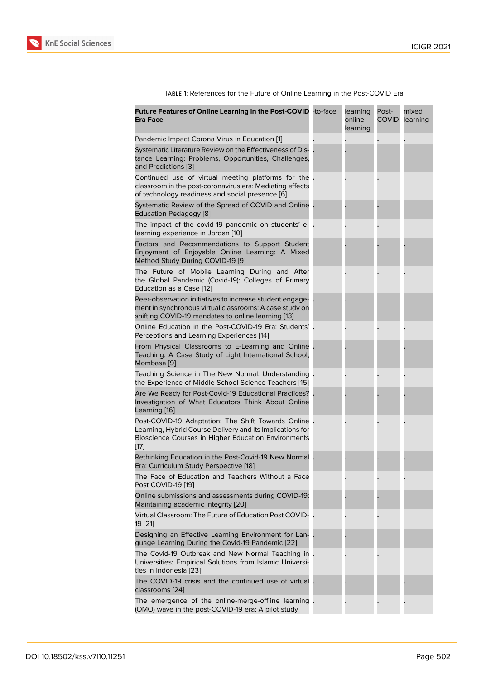Table 1: References for the Future of Online Learning in the Post-COVID Era

| Future Features of Online Learning in the Post-COVID -to-face<br>Era Face                                                                                                         | learning<br>online<br>learning | Post-<br><b>COVID</b> | mixed<br>learning |
|-----------------------------------------------------------------------------------------------------------------------------------------------------------------------------------|--------------------------------|-----------------------|-------------------|
| Pandemic Impact Corona Virus in Education [1]                                                                                                                                     |                                |                       |                   |
| Systematic Literature Review on the Effectiveness of Dis-<br>tance Learning: Problems, Opportunities, Challenges,<br>and Predictions [3]                                          |                                |                       |                   |
| Continued use of virtual meeting platforms for the.<br>classroom in the post-coronavirus era: Mediating effects<br>of technology readiness and social presence [6]                |                                |                       |                   |
| Systematic Review of the Spread of COVID and Online.<br>Education Pedagogy [8]                                                                                                    |                                |                       |                   |
| The impact of the covid-19 pandemic on students' e-.<br>learning experience in Jordan [10]                                                                                        |                                |                       |                   |
| Factors and Recommendations to Support Student<br>Enjoyment of Enjoyable Online Learning: A Mixed<br>Method Study During COVID-19 [9]                                             |                                |                       |                   |
| The Future of Mobile Learning During and After<br>the Global Pandemic (Covid-19): Colleges of Primary<br>Education as a Case [12]                                                 |                                |                       |                   |
| Peer-observation initiatives to increase student engage-<br>ment in synchronous virtual classrooms: A case study on<br>shifting COVID-19 mandates to online learning [13]         |                                |                       |                   |
| Online Education in the Post-COVID-19 Era: Students'.<br>Perceptions and Learning Experiences [14]                                                                                |                                |                       |                   |
| From Physical Classrooms to E-Learning and Online.<br>Teaching: A Case Study of Light International School,<br>Mombasa [9]                                                        |                                |                       |                   |
| Teaching Science in The New Normal: Understanding.<br>the Experience of Middle School Science Teachers [15]                                                                       |                                |                       |                   |
| Are We Ready for Post-Covid-19 Educational Practices?.<br>Investigation of What Educators Think About Online<br>Learning [16]                                                     |                                |                       |                   |
| Post-COVID-19 Adaptation; The Shift Towards Online.<br>Learning, Hybrid Course Delivery and Its Implications for<br>Bioscience Courses in Higher Education Environments<br>$[17]$ |                                |                       |                   |
| Rethinking Education in the Post-Covid-19 New Normal.<br>Era: Curriculum Study Perspective [18]                                                                                   |                                |                       |                   |
| The Face of Education and Teachers Without a Face<br>Post COVID-19 [19]                                                                                                           |                                |                       |                   |
| Online submissions and assessments during COVID-19:<br>Maintaining academic integrity [20]                                                                                        |                                |                       |                   |
| Virtual Classroom: The Future of Education Post COVID-.<br>19 [21]                                                                                                                |                                |                       |                   |
| Designing an Effective Learning Environment for Lan-.<br>guage Learning During the Covid-19 Pandemic [22]                                                                         |                                |                       |                   |
| The Covid-19 Outbreak and New Normal Teaching in.<br>Universities: Empirical Solutions from Islamic Universi-<br>ties in Indonesia [23]                                           |                                |                       |                   |
| The COVID-19 crisis and the continued use of virtual.<br>classrooms [24]                                                                                                          |                                |                       |                   |
| The emergence of the online-merge-offline learning.<br>(OMO) wave in the post-COVID-19 era: A pilot study                                                                         |                                |                       |                   |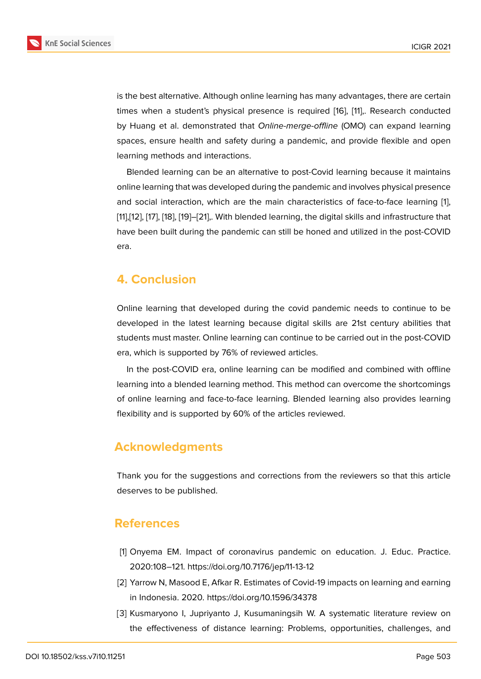is the best alternative. Although online learning has many advantages, there are certain times when a student's physical presence is required [16], [11],. Research conducted by Huang et al. demonstrated that *Online-merge-offline* (OMO) can expand learning spaces, ensure health and safety during a pandemic, and provide flexible and open learning methods and interactions.

Blended learning can be an alternative to post-Covid learning because it maintains online learning that was developed during the pandemic and involves physical presence and social interaction, which are the main characteristics of face-to-face learning [1], [11],[12], [17], [18], [19]–[21],. With blended learning, the digital skills and infrastructure that have been built during the pandemic can still be honed and utilized in the post-COVID era.

# **4. Conclusion**

Online learning that developed during the covid pandemic needs to continue to be developed in the latest learning because digital skills are 21st century abilities that students must master. Online learning can continue to be carried out in the post-COVID era, which is supported by 76% of reviewed articles.

In the post-COVID era, online learning can be modified and combined with offline learning into a blended learning method. This method can overcome the shortcomings of online learning and face-to-face learning. Blended learning also provides learning flexibility and is supported by 60% of the articles reviewed.

# **Acknowledgments**

Thank you for the suggestions and corrections from the reviewers so that this article deserves to be published.

### **References**

- [1] Onyema EM. Impact of coronavirus pandemic on education. J. Educ. Practice. 2020:108–121. https://doi.org/10.7176/jep/11-13-12
- <span id="page-6-0"></span>[2] Yarrow N, Masood E, Afkar R. Estimates of Covid-19 impacts on learning and earning in Indonesia. 2020. https://doi.org/10.1596/34378
- <span id="page-6-2"></span><span id="page-6-1"></span>[3] Kusmaryono I, Jupriyanto J, Kusumaningsih W. A systematic literature review on the effectiveness of distance learning: Problems, opportunities, challenges, and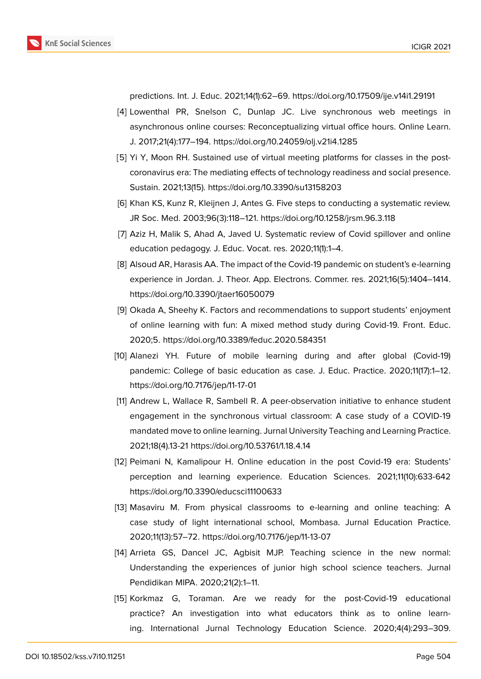

predictions. Int. J. Educ. 2021;14(1):62–69. https://doi.org/10.17509/ije.v14i1.29191

- <span id="page-7-0"></span>[4] Lowenthal PR, Snelson C, Dunlap JC. Live synchronous web meetings in asynchronous online courses: Reconceptualizing virtual office hours. Online Learn. J. 2017;21(4):177–194. https://doi.org/10.24059/olj.v21i4.1285
- [5] Yi Y, Moon RH. Sustained use of virtual meeting platforms for classes in the postcoronavirus era: The mediating effects of technology readiness and social presence. Sustain. 2021;13(15). https://doi.org/10.3390/su13158203
- [6] Khan KS, Kunz R, Kleijnen J, Antes G. Five steps to conducting a systematic review. JR Soc. Med. 2003;96(3):118–121. https://doi.org/10.1258/jrsm.96.3.118
- <span id="page-7-1"></span>[7] Aziz H, Malik S, Ahad A, Javed U. Systematic review of Covid spillover and online education pedagogy. J. Educ. Vocat. res. 2020;11(1):1–4.
- <span id="page-7-2"></span>[8] Alsoud AR, Harasis AA. The impact of the Covid-19 pandemic on student's e-learning experience in Jordan. J. Theor. App. Electrons. Commer. res. 2021;16(5):1404–1414. https://doi.org/10.3390/jtaer16050079
- <span id="page-7-3"></span>[9] Okada A, Sheehy K. Factors and recommendations to support students' enjoyment of online learning with fun: A mixed method study during Covid-19. Front. Educ. 2020;5. https://doi.org/10.3389/feduc.2020.584351
- <span id="page-7-4"></span>[10] Alanezi YH. Future of mobile learning during and after global (Covid-19) pandemic: College of basic education as case. J. Educ. Practice. 2020;11(17):1–12. https://doi.org/10.7176/jep/11-17-01
- <span id="page-7-5"></span>[11] Andrew L, Wallace R, Sambell R. A peer-observation initiative to enhance student engagement in the synchronous virtual classroom: A case study of a COVID-19 mandated move to online learning. Jurnal University Teaching and Learning Practice. 2021;18(4).13-21 https://doi.org/10.53761/1.18.4.14
- <span id="page-7-8"></span>[12] Peimani N, Kamalipour H. Online education in the post Covid-19 era: Students' perception and learning experience. Education Sciences. 2021;11(10):633-642 https://doi.org/10.3390/educsci11100633
- <span id="page-7-6"></span>[13] Masaviru M. From physical classrooms to e-learning and online teaching: A case study of light international school, Mombasa. Jurnal Education Practice. 2020;11(13):57–72. https://doi.org/10.7176/jep/11-13-07
- <span id="page-7-7"></span>[14] Arrieta GS, Dancel JC, Agbisit MJP. Teaching science in the new normal: Understanding the experiences of junior high school science teachers. Jurnal Pendidikan MIPA. 2020;21(2):1–11.
- <span id="page-7-9"></span>[15] Korkmaz G, Toraman. Are we ready for the post-Covid-19 educational practice? An investigation into what educators think as to online learning. International Jurnal Technology Education Science. 2020;4(4):293–309.